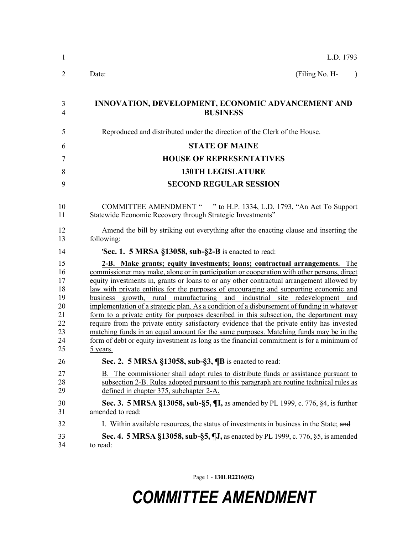| 1                                                              | L.D. 1793                                                                                                                                                                                                                                                                                                                                                                                                                                                                                                                                                                                                                                                                                                                                                                                                                                                                                                                             |
|----------------------------------------------------------------|---------------------------------------------------------------------------------------------------------------------------------------------------------------------------------------------------------------------------------------------------------------------------------------------------------------------------------------------------------------------------------------------------------------------------------------------------------------------------------------------------------------------------------------------------------------------------------------------------------------------------------------------------------------------------------------------------------------------------------------------------------------------------------------------------------------------------------------------------------------------------------------------------------------------------------------|
| $\overline{2}$                                                 | (Filing No. H-<br>Date:                                                                                                                                                                                                                                                                                                                                                                                                                                                                                                                                                                                                                                                                                                                                                                                                                                                                                                               |
| 3<br>$\overline{4}$                                            | INNOVATION, DEVELOPMENT, ECONOMIC ADVANCEMENT AND<br><b>BUSINESS</b>                                                                                                                                                                                                                                                                                                                                                                                                                                                                                                                                                                                                                                                                                                                                                                                                                                                                  |
| 5                                                              | Reproduced and distributed under the direction of the Clerk of the House.                                                                                                                                                                                                                                                                                                                                                                                                                                                                                                                                                                                                                                                                                                                                                                                                                                                             |
| 6                                                              | <b>STATE OF MAINE</b>                                                                                                                                                                                                                                                                                                                                                                                                                                                                                                                                                                                                                                                                                                                                                                                                                                                                                                                 |
| 7                                                              | <b>HOUSE OF REPRESENTATIVES</b>                                                                                                                                                                                                                                                                                                                                                                                                                                                                                                                                                                                                                                                                                                                                                                                                                                                                                                       |
| 8                                                              | <b>130TH LEGISLATURE</b>                                                                                                                                                                                                                                                                                                                                                                                                                                                                                                                                                                                                                                                                                                                                                                                                                                                                                                              |
| 9                                                              | <b>SECOND REGULAR SESSION</b>                                                                                                                                                                                                                                                                                                                                                                                                                                                                                                                                                                                                                                                                                                                                                                                                                                                                                                         |
| 10<br>11                                                       | COMMITTEE AMENDMENT " " to H.P. 1334, L.D. 1793, "An Act To Support<br>Statewide Economic Recovery through Strategic Investments"                                                                                                                                                                                                                                                                                                                                                                                                                                                                                                                                                                                                                                                                                                                                                                                                     |
| 12<br>13                                                       | Amend the bill by striking out everything after the enacting clause and inserting the<br>following:                                                                                                                                                                                                                                                                                                                                                                                                                                                                                                                                                                                                                                                                                                                                                                                                                                   |
| 14                                                             | <b>Sec. 1. 5 MRSA §13058, sub-§2-B</b> is enacted to read:                                                                                                                                                                                                                                                                                                                                                                                                                                                                                                                                                                                                                                                                                                                                                                                                                                                                            |
| 15<br>16<br>17<br>18<br>19<br>20<br>21<br>22<br>23<br>24<br>25 | 2-B. Make grants; equity investments; loans; contractual arrangements. The<br>commissioner may make, alone or in participation or cooperation with other persons, direct<br>equity investments in, grants or loans to or any other contractual arrangement allowed by<br>law with private entities for the purposes of encouraging and supporting economic and<br>business growth, rural manufacturing and industrial site redevelopment and<br>implementation of a strategic plan. As a condition of a disbursement of funding in whatever<br>form to a private entity for purposes described in this subsection, the department may<br>require from the private entity satisfactory evidence that the private entity has invested<br>matching funds in an equal amount for the same purposes. Matching funds may be in the<br>form of debt or equity investment as long as the financial commitment is for a minimum of<br>5 years. |
| 26                                                             | Sec. 2. 5 MRSA §13058, sub-§3, ¶B is enacted to read:                                                                                                                                                                                                                                                                                                                                                                                                                                                                                                                                                                                                                                                                                                                                                                                                                                                                                 |
| 27<br>28<br>29                                                 | B. The commissioner shall adopt rules to distribute funds or assistance pursuant to<br>subsection 2-B. Rules adopted pursuant to this paragraph are routine technical rules as<br>defined in chapter 375, subchapter 2-A.                                                                                                                                                                                                                                                                                                                                                                                                                                                                                                                                                                                                                                                                                                             |
| 30<br>31                                                       | <b>Sec. 3. 5 MRSA §13058, sub-§5, ¶I, as amended by PL 1999, c. 776, §4, is further</b><br>amended to read:                                                                                                                                                                                                                                                                                                                                                                                                                                                                                                                                                                                                                                                                                                                                                                                                                           |
| 32                                                             | I. Within available resources, the status of investments in business in the State; and                                                                                                                                                                                                                                                                                                                                                                                                                                                                                                                                                                                                                                                                                                                                                                                                                                                |
| 33<br>34                                                       | <b>Sec. 4. 5 MRSA §13058, sub-§5, ¶J, as enacted by PL 1999, c. 776, §5, is amended</b><br>to read:                                                                                                                                                                                                                                                                                                                                                                                                                                                                                                                                                                                                                                                                                                                                                                                                                                   |

Page 1 - **130LR2216(02)**

## *COMMITTEE AMENDMENT*